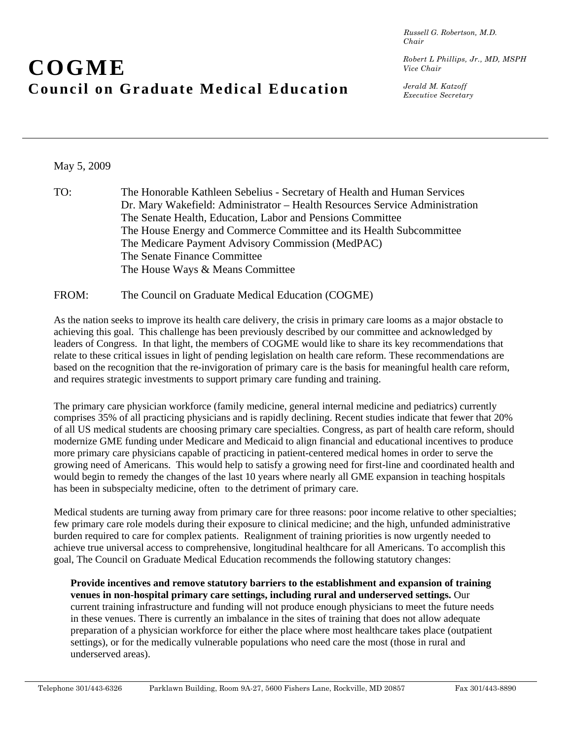*Russell G. Robertson, M.D. Chair* 

 *Robert L Phillips, Jr., MD, MSPH Vice Chair* 

 *Jerald M. Katzoff Executive Secretary*

# **COGME Council on Graduate Medical Education**

#### May 5, 2009

TO: The Honorable Kathleen Sebelius - Secretary of Health and Human Services Dr. Mary Wakefield: Administrator – Health Resources Service Administration The Senate Health, Education, Labor and Pensions Committee The House Energy and Commerce Committee and its Health Subcommittee The Medicare Payment Advisory Commission (MedPAC) The Senate Finance Committee The House Ways & Means Committee

#### FROM: The Council on Graduate Medical Education (COGME)

As the nation seeks to improve its health care delivery, the crisis in primary care looms as a major obstacle to achieving this goal. This challenge has been previously described by our committee and acknowledged by leaders of Congress. In that light, the members of COGME would like to share its key recommendations that relate to these critical issues in light of pending legislation on health care reform. These recommendations are based on the recognition that the re-invigoration of primary care is the basis for meaningful health care reform, and requires strategic investments to support primary care funding and training.

The primary care physician workforce (family medicine, general internal medicine and pediatrics) currently comprises 35% of all practicing physicians and is rapidly declining. Recent studies indicate that fewer that 20% of all US medical students are choosing primary care specialties. Congress, as part of health care reform, should modernize GME funding under Medicare and Medicaid to align financial and educational incentives to produce more primary care physicians capable of practicing in patient-centered medical homes in order to serve the growing need of Americans. This would help to satisfy a growing need for first-line and coordinated health and would begin to remedy the changes of the last 10 years where nearly all GME expansion in teaching hospitals has been in subspecialty medicine, often to the detriment of primary care.

Medical students are turning away from primary care for three reasons: poor income relative to other specialties; few primary care role models during their exposure to clinical medicine; and the high, unfunded administrative burden required to care for complex patients. Realignment of training priorities is now urgently needed to achieve true universal access to comprehensive, longitudinal healthcare for all Americans. To accomplish this goal, The Council on Graduate Medical Education recommends the following statutory changes:

**Provide incentives and remove statutory barriers to the establishment and expansion of training venues in non-hospital primary care settings, including rural and underserved settings.** Our current training infrastructure and funding will not produce enough physicians to meet the future needs in these venues. There is currently an imbalance in the sites of training that does not allow adequate preparation of a physician workforce for either the place where most healthcare takes place (outpatient settings), or for the medically vulnerable populations who need care the most (those in rural and underserved areas).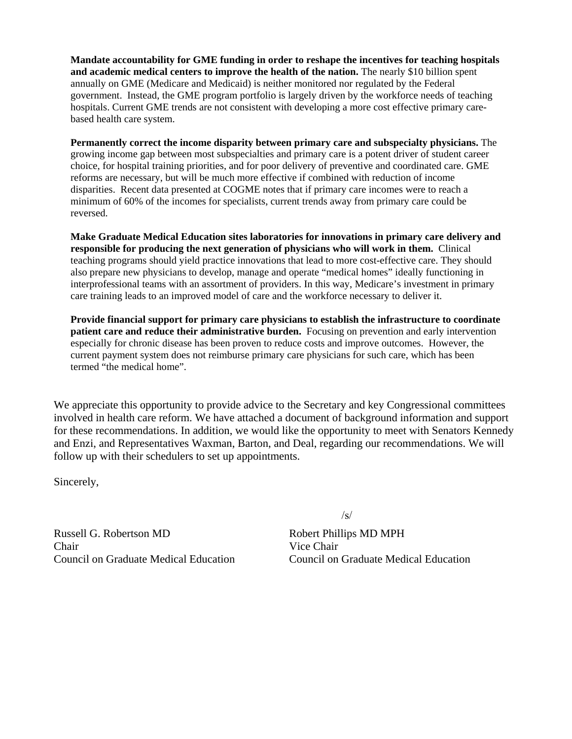**Mandate accountability for GME funding in order to reshape the incentives for teaching hospitals and academic medical centers to improve the health of the nation.** The nearly \$10 billion spent annually on GME (Medicare and Medicaid) is neither monitored nor regulated by the Federal government. Instead, the GME program portfolio is largely driven by the workforce needs of teaching hospitals. Current GME trends are not consistent with developing a more cost effective primary carebased health care system.

**Permanently correct the income disparity between primary care and subspecialty physicians.** The growing income gap between most subspecialties and primary care is a potent driver of student career choice, for hospital training priorities, and for poor delivery of preventive and coordinated care. GME reforms are necessary, but will be much more effective if combined with reduction of income disparities. Recent data presented at COGME notes that if primary care incomes were to reach a minimum of 60% of the incomes for specialists, current trends away from primary care could be reversed.

**Make Graduate Medical Education sites laboratories for innovations in primary care delivery and responsible for producing the next generation of physicians who will work in them.** Clinical teaching programs should yield practice innovations that lead to more cost-effective care. They should also prepare new physicians to develop, manage and operate "medical homes" ideally functioning in interprofessional teams with an assortment of providers. In this way, Medicare's investment in primary care training leads to an improved model of care and the workforce necessary to deliver it.

**Provide financial support for primary care physicians to establish the infrastructure to coordinate patient care and reduce their administrative burden.** Focusing on prevention and early intervention especially for chronic disease has been proven to reduce costs and improve outcomes. However, the current payment system does not reimburse primary care physicians for such care, which has been termed "the medical home".

We appreciate this opportunity to provide advice to the Secretary and key Congressional committees involved in health care reform. We have attached a document of background information and support for these recommendations. In addition, we would like the opportunity to meet with Senators Kennedy and Enzi, and Representatives Waxman, Barton, and Deal, regarding our recommendations. We will follow up with their schedulers to set up appointments.

Sincerely,

/s/

Russell G. Robertson MD Chair Vice Chair

Council on Graduate Medical Education Council on Graduate Medical Education Robert Phillips MD MPH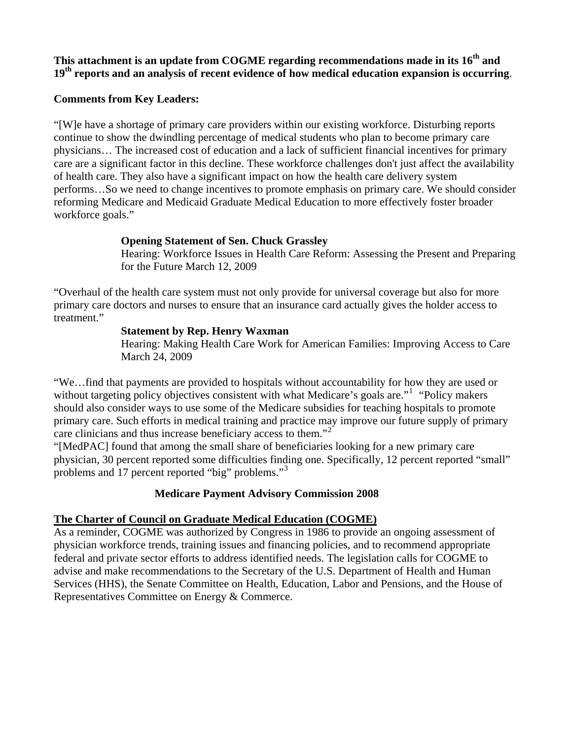**This attachment is an update from COGME regarding recommendations made in its 16th and 19th reports and an analysis of recent evidence of how medical education expansion is occurring**.

#### **Comments from Key Leaders:**

"[W]e have a shortage of primary care providers within our existing workforce. Disturbing reports continue to show the dwindling percentage of medical students who plan to become primary care physicians… The increased cost of education and a lack of sufficient financial incentives for primary care are a significant factor in this decline. These workforce challenges don't just affect the availability of health care. They also have a significant impact on how the health care delivery system performs…So we need to change incentives to promote emphasis on primary care. We should consider reforming Medicare and Medicaid Graduate Medical Education to more effectively foster broader workforce goals."

## **Opening Statement of Sen. Chuck Grassley**

Hearing: Workforce Issues in Health Care Reform: Assessing the Present and Preparing for the Future March 12, 2009

"Overhaul of the health care system must not only provide for universal coverage but also for more primary care doctors and nurses to ensure that an insurance card actually gives the holder access to treatment."

#### **Statement by Rep. Henry Waxman**

Hearing: Making Health Care Work for American Families: Improving Access to Care March 24, 2009

"We…find that payments are provided to hospitals without accountability for how they are used or without targeting policy objectives consistent with what Medicare's goals are."<sup>[1](#page-4-0)</sup> "Policy makers" should also consider ways to use some of the Medicare subsidies for teaching hospitals to promote primary care. Such efforts in medical training and practice may improve our future supply of primary care clinicians and thus increase beneficiary access to them."<sup>[2](#page-4-1)</sup>

"[MedPAC] found that among the small share of beneficiaries looking for a new primary care physician, 30 percent reported some difficulties finding one. Specifically, 12 percent reported "small" problems and 17 percent reported "big" problems."[3](#page-4-1)

## **Medicare Payment Advisory Commission 2008**

## **The Charter of Council on Graduate Medical Education (COGME)**

As a reminder, COGME was authorized by Congress in 1986 to provide an ongoing assessment of physician workforce trends, training issues and financing policies, and to recommend appropriate federal and private sector efforts to address identified needs. The legislation calls for COGME to advise and make recommendations to the Secretary of the U.S. Department of Health and Human Services (HHS), the Senate Committee on Health, Education, Labor and Pensions, and the House of Representatives Committee on Energy & Commerce.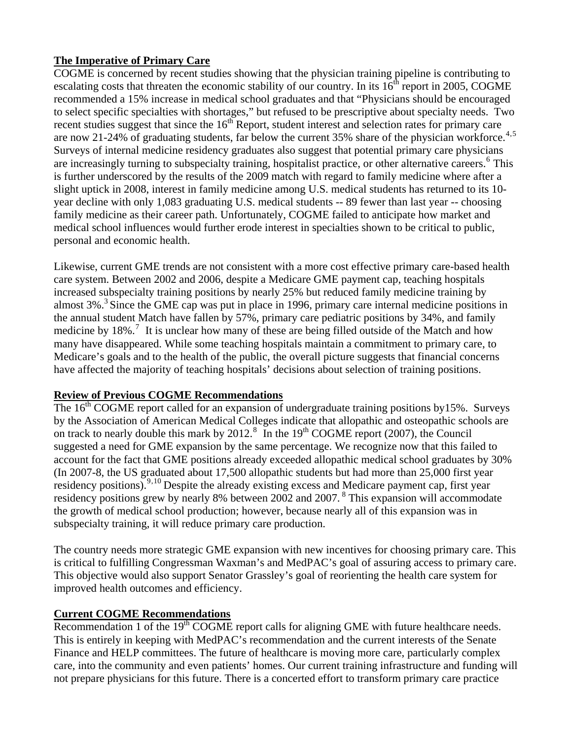# **The Imperative of Primary Care**

COGME is concerned by recent studies showing that the physician training pipeline is contributing to escalating costs that threaten the economic stability of our country. In its  $16<sup>th</sup>$  report in 2005, COGME recommended a 15% increase in medical school graduates and that "Physicians should be encouraged to select specific specialties with shortages," but refused to be prescriptive about specialty needs. Two recent studies suggest that since the 16<sup>th</sup> Report, student interest and selection rates for primary care are now 21-2[4](#page-5-0)% of graduating students, far below the current 3[5](#page-5-0)% share of the physician workforce.<sup>4,5</sup> Surveys of internal medicine residency graduates also suggest that potential primary care physicians are increasingly turning to subspecialty training, hospitalist practice, or other alternative careers.<sup>[6](#page-5-0)</sup> This is further underscored by the results of the 2009 match with regard to family medicine where after a slight uptick in 2008, interest in family medicine among U.S. medical students has returned to its 10 year decline with only 1,083 graduating U.S. medical students -- 89 fewer than last year -- choosing family medicine as their career path. Unfortunately, COGME failed to anticipate how market and medical school influences would further erode interest in specialties shown to be critical to public, personal and economic health.

Likewise, current GME trends are not consistent with a more cost effective primary care-based health care system. Between 2002 and 2006, despite a Medicare GME payment cap, teaching hospitals increased subspecialty training positions by nearly 25% but reduced family medicine training by almost  $3\%$ .<sup>3</sup> Since the GME cap was put in place in 1996, primary care internal medicine positions in the annual student Match have fallen by 57%, primary care pediatric positions by 34%, and family medicine by 18%.<sup>[7](#page-5-0)</sup> It is unclear how many of these are being filled outside of the Match and how many have disappeared. While some teaching hospitals maintain a commitment to primary care, to Medicare's goals and to the health of the public, the overall picture suggests that financial concerns have affected the majority of teaching hospitals' decisions about selection of training positions.

## **Review of Previous COGME Recommendations**

The  $16<sup>th</sup> CGME$  report called for an expansion of undergraduate training positions by 15%. Surveys by the Association of American Medical Colleges indicate that allopathic and osteopathic schools are on track to nearly double this mark by  $2012$ .<sup>[8](#page-5-0)</sup> In the 19<sup>th</sup> COGME report (2007), the Council suggested a need for GME expansion by the same percentage. We recognize now that this failed to account for the fact that GME positions already exceeded allopathic medical school graduates by 30% (In 2007-8, the US graduated about 17,500 allopathic students but had more than 25,000 first year residency positions).<sup>[9](#page-5-0),[10](#page-5-0)</sup> Despite the already existing excess and Medicare payment cap, first year subspecialty training, it will reduce primary care production. residency positions grew by nearly 8% between 2002 and 2007. 8 This expansion will accommodate the growth of medical school production; however, because nearly all of this expansion was in

The country needs more strategic GME expansion with new incentives for choosing primary care. This is critical to fulfilling Congressman Waxman's and MedPAC's goal of assuring access to primary care. This objective would also support Senator Grassley's goal of reorienting the health care system for improved health outcomes and efficiency.

## **Current COGME Recommendations**

Recommendation 1 of the 19<sup>th</sup> COGME report calls for aligning GME with future healthcare needs. This is entirely in keeping with MedPAC's recommendation and the current interests of the Senate Finance and HELP committees. The future of healthcare is moving more care, particularly complex care, into the community and even patients' homes. Our current training infrastructure and funding will not prepare physicians for this future. There is a concerted effort to transform primary care practice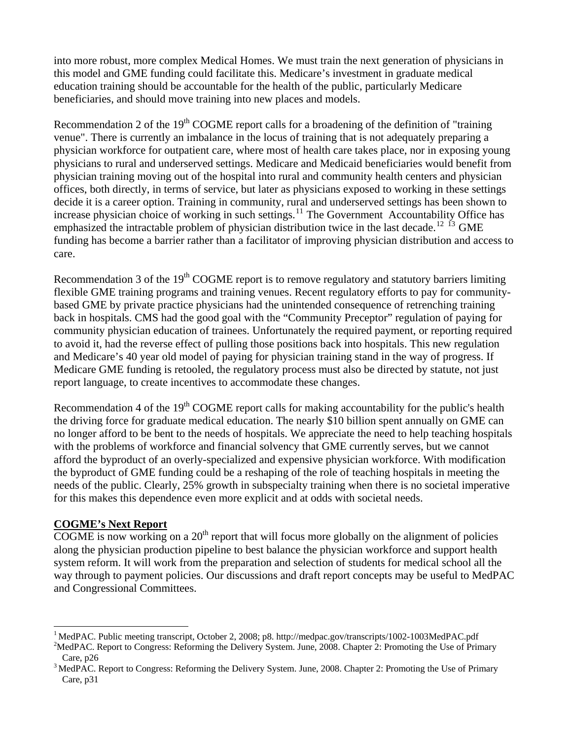into more robust, more complex Medical Homes. We must train the next generation of physicians in this model and GME funding could facilitate this. Medicare's investment in graduate medical education training should be accountable for the health of the public, particularly Medicare beneficiaries, and should move training into new places and models.

<span id="page-4-1"></span>Recommendation 2 of the  $19<sup>th</sup>$  COGME report calls for a broadening of the definition of "training" venue". There is currently an imbalance in the locus of training that is not adequately preparing a physician workforce for outpatient care, where most of health care takes place, nor in exposing young physicians to rural and underserved settings. Medicare and Medicaid beneficiaries would benefit from physician training moving out of the hospital into rural and community health centers and physician offices, both directly, in terms of service, but later as physicians exposed to working in these settings decide it is a career option. Training in community, rural and underserved settings has been shown to increase physician choice of working in such settings.<sup>[11](#page-5-0)</sup> The Government Accountability Office has emphasized the intractable problem of physician distribution twice in the last decade.<sup>[12](#page-5-1) [13](#page-5-2)</sup> GME funding has become a barrier rather than a facilitator of improving physician distribution and access to care.

Recommendation 3 of the  $19<sup>th</sup>$  COGME report is to remove regulatory and statutory barriers limiting flexible GME training programs and training venues. Recent regulatory efforts to pay for communitybased GME by private practice physicians had the unintended consequence of retrenching training back in hospitals. CMS had the good goal with the "Community Preceptor" regulation of paying for community physician education of trainees. Unfortunately the required payment, or reporting required to avoid it, had the reverse effect of pulling those positions back into hospitals. This new regulation and Medicare's 40 year old model of paying for physician training stand in the way of progress. If Medicare GME funding is retooled, the regulatory process must also be directed by statute, not just report language, to create incentives to accommodate these changes.

Recommendation 4 of the 19<sup>th</sup> COGME report calls for making accountability for the public's health the driving force for graduate medical education. The nearly \$10 billion spent annually on GME can no longer afford to be bent to the needs of hospitals. We appreciate the need to help teaching hospitals with the problems of workforce and financial solvency that GME currently serves, but we cannot afford the byproduct of an overly-specialized and expensive physician workforce. With modification the byproduct of GME funding could be a reshaping of the role of teaching hospitals in meeting the needs of the public. Clearly, 25% growth in subspecialty training when there is no societal imperative for this makes this dependence even more explicit and at odds with societal needs.

## **COGME's Next Report**

l

COGME is now working on a  $20<sup>th</sup>$  report that will focus more globally on the alignment of policies along the physician production pipeline to best balance the physician workforce and support health system reform. It will work from the preparation and selection of students for medical school all the way through to payment policies. Our discussions and draft report concepts may be useful to MedPAC and Congressional Committees.

<span id="page-4-0"></span><sup>&</sup>lt;sup>1</sup> MedPAC. Public meeting transcript, October 2, 2008; p8. http://medpac.gov/transcripts/1002-1003MedPAC.pdf

<sup>&</sup>lt;sup>2</sup>MedPAC. Report to Congress: Reforming the Delivery System. June, 2008. Chapter 2: Promoting the Use of Primary Care, p26<br><sup>3</sup> MedPAC. Report to Congress: Reforming the Delivery System. June, 2008. Chapter 2: Promoting the Use of Primary

Care, p31